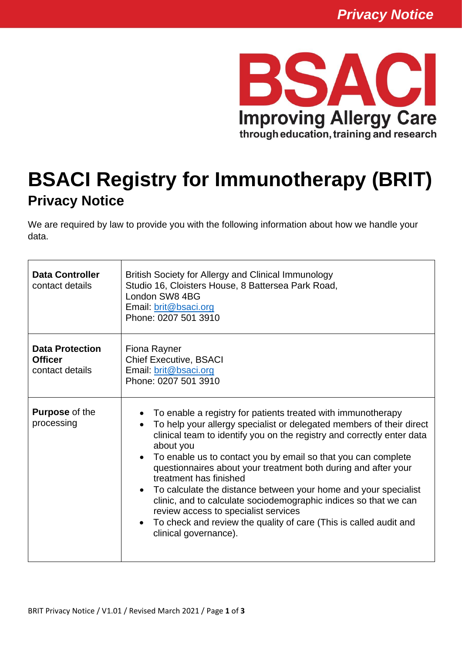

## **BSACI Registry for Immunotherapy (BRIT) Privacy Notice**

We are required by law to provide you with the following information about how we handle your data.

| <b>Data Controller</b><br>contact details                   | British Society for Allergy and Clinical Immunology<br>Studio 16, Cloisters House, 8 Battersea Park Road,<br>London SW8 4BG<br>Email: brit@bsaci.org<br>Phone: 0207 501 3910                                                                                                                                                                                                                                                                                                                                                                                                                                                                                                       |
|-------------------------------------------------------------|------------------------------------------------------------------------------------------------------------------------------------------------------------------------------------------------------------------------------------------------------------------------------------------------------------------------------------------------------------------------------------------------------------------------------------------------------------------------------------------------------------------------------------------------------------------------------------------------------------------------------------------------------------------------------------|
| <b>Data Protection</b><br><b>Officer</b><br>contact details | Fiona Rayner<br><b>Chief Executive, BSACI</b><br>Email: brit@bsaci.org<br>Phone: 0207 501 3910                                                                                                                                                                                                                                                                                                                                                                                                                                                                                                                                                                                     |
| <b>Purpose of the</b><br>processing                         | To enable a registry for patients treated with immunotherapy<br>To help your allergy specialist or delegated members of their direct<br>clinical team to identify you on the registry and correctly enter data<br>about you<br>To enable us to contact you by email so that you can complete<br>questionnaires about your treatment both during and after your<br>treatment has finished<br>To calculate the distance between your home and your specialist<br>$\bullet$<br>clinic, and to calculate sociodemographic indices so that we can<br>review access to specialist services<br>To check and review the quality of care (This is called audit and<br>clinical governance). |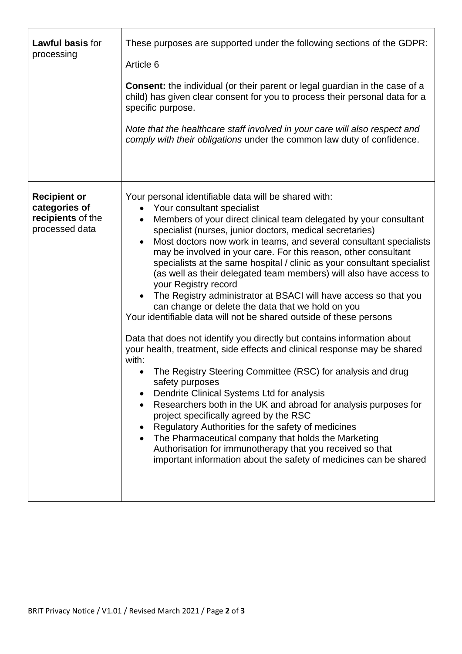| <b>Lawful basis for</b><br>processing                                       | These purposes are supported under the following sections of the GDPR:<br>Article 6<br><b>Consent:</b> the individual (or their parent or legal guardian in the case of a<br>child) has given clear consent for you to process their personal data for a<br>specific purpose.<br>Note that the healthcare staff involved in your care will also respect and<br>comply with their obligations under the common law duty of confidence.                                                                                                                                                                                                                                                                                                                                                                                                                                                                                                                                                                                                                                                                                                                                                                                                                                                                                                                                                                                                     |
|-----------------------------------------------------------------------------|-------------------------------------------------------------------------------------------------------------------------------------------------------------------------------------------------------------------------------------------------------------------------------------------------------------------------------------------------------------------------------------------------------------------------------------------------------------------------------------------------------------------------------------------------------------------------------------------------------------------------------------------------------------------------------------------------------------------------------------------------------------------------------------------------------------------------------------------------------------------------------------------------------------------------------------------------------------------------------------------------------------------------------------------------------------------------------------------------------------------------------------------------------------------------------------------------------------------------------------------------------------------------------------------------------------------------------------------------------------------------------------------------------------------------------------------|
| <b>Recipient or</b><br>categories of<br>recipients of the<br>processed data | Your personal identifiable data will be shared with:<br>Your consultant specialist<br>$\bullet$<br>Members of your direct clinical team delegated by your consultant<br>$\bullet$<br>specialist (nurses, junior doctors, medical secretaries)<br>Most doctors now work in teams, and several consultant specialists<br>$\bullet$<br>may be involved in your care. For this reason, other consultant<br>specialists at the same hospital / clinic as your consultant specialist<br>(as well as their delegated team members) will also have access to<br>your Registry record<br>• The Registry administrator at BSACI will have access so that you<br>can change or delete the data that we hold on you<br>Your identifiable data will not be shared outside of these persons<br>Data that does not identify you directly but contains information about<br>your health, treatment, side effects and clinical response may be shared<br>with:<br>The Registry Steering Committee (RSC) for analysis and drug<br>safety purposes<br>Dendrite Clinical Systems Ltd for analysis<br>Researchers both in the UK and abroad for analysis purposes for<br>project specifically agreed by the RSC<br>Regulatory Authorities for the safety of medicines<br>The Pharmaceutical company that holds the Marketing<br>Authorisation for immunotherapy that you received so that<br>important information about the safety of medicines can be shared |